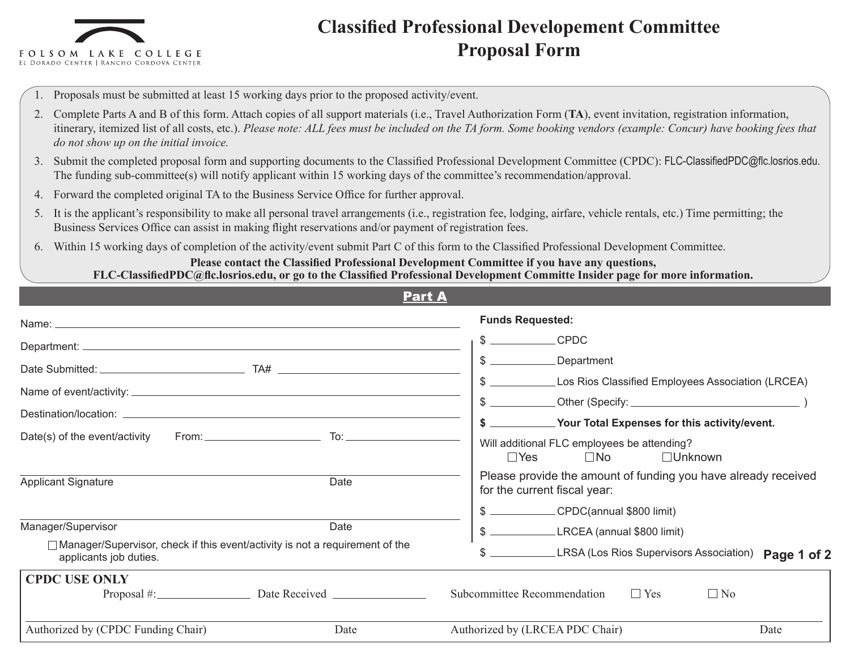

## **Classified Professional Developement Committee Proposal Form**

- 1. Proposals must be submitted at least 15 working days prior to the proposed activity/event.
- 2. Complete Parts A and B of this form. Attach copies of all support materials (i.e., Travel Authorization Form (**TA**), event invitation, registration information, itinerary, itemized list of all costs, etc.). *Please note: ALL fees must be included on the TA form. Some booking vendors (example: Concur) have booking fees that do not show up on the initial invoice.*
- 3. Submit the completed proposal form and supporting documents to the Classified Professional Development Committee (CPDC): FLC-ClassifiedPDC@flc.losrios.edu. The funding sub-committee(s) will notify applicant within 15 working days of the committee's recommendation/approval.
- 4. Forward the completed original TA to the Business Service Office for further approval.
- 5. It is the applicant's responsibility to make all personal travel arrangements (i.e., registration fee, lodging, airfare, vehicle rentals, etc.) Time permitting; the Business Services Office can assist in making flight reservations and/or payment of registration fees.
- 6. Within 15 working days of completion of the activity/event submit Part C of this form to the Classified Professional Development Committee.

## **Please contact the Classified Professional Development Committee if you have any questions, FLC-ClassifiedPDC@flc.losrios.edu, or go to the Classified Professional Development Committe Insider page for more information.**

| <b>Part A</b>                                                                                            |                                                                                                |  |  |  |
|----------------------------------------------------------------------------------------------------------|------------------------------------------------------------------------------------------------|--|--|--|
|                                                                                                          | <b>Funds Requested:</b>                                                                        |  |  |  |
|                                                                                                          | <b>CPDC</b>                                                                                    |  |  |  |
|                                                                                                          | $\frac{1}{2}$<br>Department                                                                    |  |  |  |
|                                                                                                          | Los Rios Classified Employees Association (LRCEA)<br>\$                                        |  |  |  |
|                                                                                                          | Your Total Expenses for this activity/event.                                                   |  |  |  |
| From:<br>Date(s) of the event/activity                                                                   | Will additional FLC employees be attending?<br>$\Box$ Yes<br>$\square$ No<br>$\Box$ Unknown    |  |  |  |
| Date<br><b>Applicant Signature</b>                                                                       | Please provide the amount of funding you have already received<br>for the current fiscal year: |  |  |  |
|                                                                                                          | CPDC(annual \$800 limit)                                                                       |  |  |  |
| Manager/Supervisor<br>Date                                                                               | LRCEA (annual \$800 limit)                                                                     |  |  |  |
| □ Manager/Supervisor, check if this event/activity is not a requirement of the<br>applicants job duties. | \$<br>LRSA (Los Rios Supervisors Association) Page 1 of 2                                      |  |  |  |
| <b>CPDC USE ONLY</b>                                                                                     |                                                                                                |  |  |  |
|                                                                                                          | $\Box$ No<br>Subcommittee Recommendation<br>$\Box$ Yes                                         |  |  |  |
| Authorized by (CPDC Funding Chair)<br>Date                                                               | Authorized by (LRCEA PDC Chair)<br>Date                                                        |  |  |  |